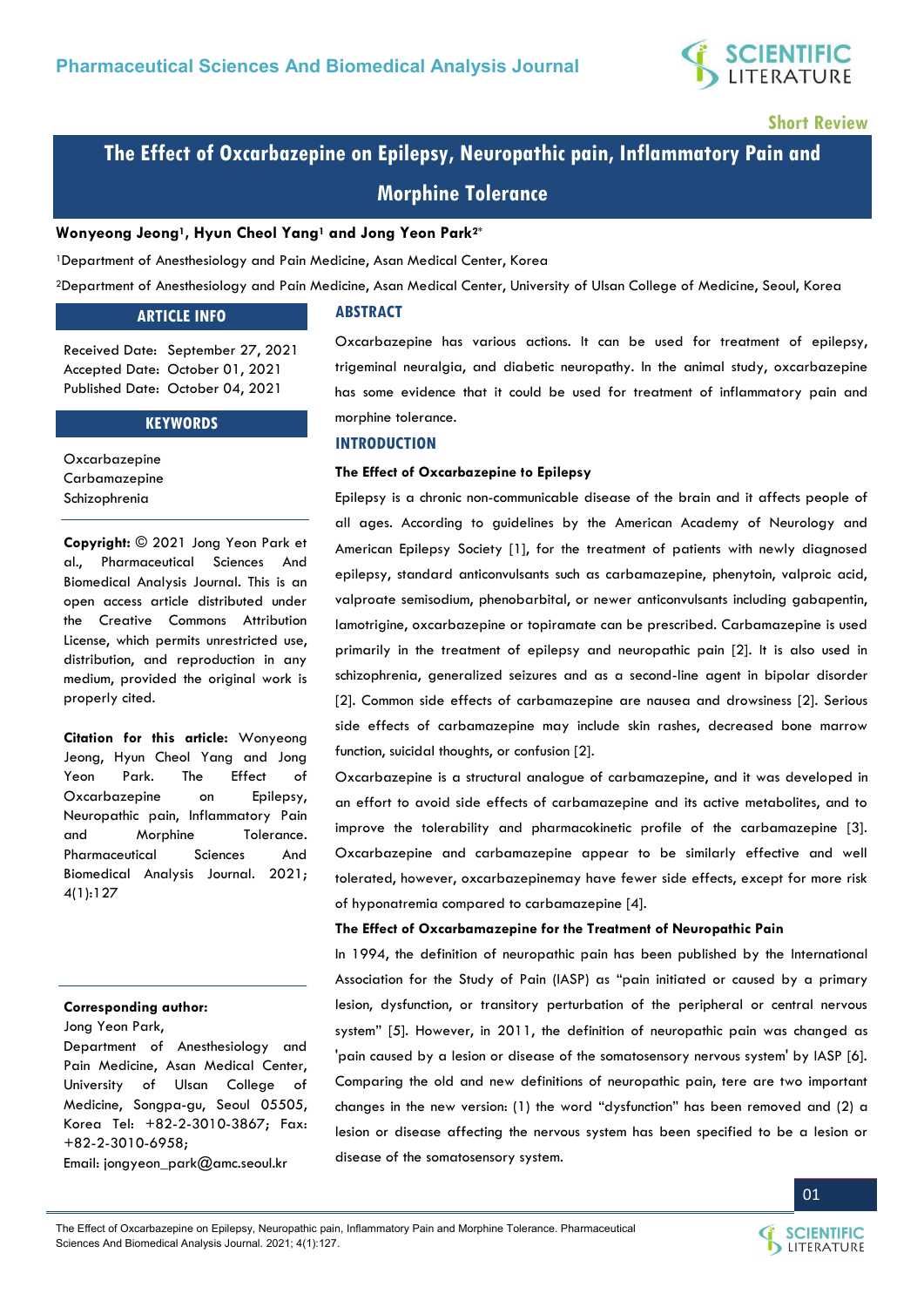

**Short Review** 

# **The Effect of Oxcarbazepine on Epilepsy, Neuropathic pain, Inflammatory Pain and Morphine Tolerance**

#### **Wonyeong Jeong1, Hyun Cheol Yang1 and Jong Yeon Park2\***

<sup>1</sup>Department of Anesthesiology and Pain Medicine, Asan Medical Center, Korea

<sup>2</sup>Department of Anesthesiology and Pain Medicine, Asan Medical Center, University of Ulsan College of Medicine, Seoul, Korea

## **ARTICLE INFO**

**ABSTRACT**

Received Date: September 27, 2021 Accepted Date: October 01, 2021 Published Date: October 04, 2021

#### **KEYWORDS**

**Oxcarbazepine** Carbamazepine Schizophrenia

**Copyright:** © 2021 Jong Yeon Park et al., Pharmaceutical Sciences And Biomedical Analysis Journal. This is an open access article distributed under the Creative Commons Attribution License, which permits unrestricted use, distribution, and reproduction in any medium, provided the original work is properly cited.

**Citation for this article:** Wonyeong Jeong, Hyun Cheol Yang and Jong Yeon Park. The Effect of Oxcarbazepine on Epilepsy, Neuropathic pain, Inflammatory Pain and Morphine Tolerance. Pharmaceutical Sciences And Biomedical Analysis Journal. 2021; 4(1):127

#### **Corresponding author:**

Jong Yeon Park,

Department of Anesthesiology and Pain Medicine, Asan Medical Center, University of Ulsan College of Medicine, Songpa-gu, Seoul 05505, Korea Tel: +82-2-3010-3867; Fax: +82-2-3010-6958;

Email: [jongyeon\\_park@amc.seoul.kr](mailto:jongyeon_park@amc.seoul.kr)

Oxcarbazepine has various actions. It can be used for treatment of epilepsy, trigeminal neuralgia, and diabetic neuropathy. In the animal study, oxcarbazepine has some evidence that it could be used for treatment of inflammatory pain and morphine tolerance.

#### **INTRODUCTION**

#### **The Effect of Oxcarbazepine to Epilepsy**

Epilepsy is a chronic non-communicable disease of the brain and it affects people of all ages. According to guidelines by the American Academy of Neurology and American Epilepsy Society [1], for the treatment of patients with newly diagnosed epilepsy, standard anticonvulsants such as carbamazepine, phenytoin, valproic acid, valproate semisodium, phenobarbital, or newer anticonvulsants including gabapentin, lamotrigine, oxcarbazepine or topiramate can be prescribed. Carbamazepine is used primarily in the treatment of epilepsy and neuropathic pain [2]. It is also used in schizophrenia, generalized seizures and as a second-line agent in bipolar disorder [2]. Common side effects of carbamazepine are nausea and drowsiness [2]. Serious side effects of carbamazepine may include skin rashes, decreased bone marrow function, suicidal thoughts, or confusion [2].

Oxcarbazepine is a structural analogue of carbamazepine, and it was developed in an effort to avoid side effects of carbamazepine and its active metabolites, and to improve the tolerability and pharmacokinetic profile of the carbamazepine [3]. Oxcarbazepine and carbamazepine appear to be similarly effective and well tolerated, however, oxcarbazepinemay have fewer side effects, except for more risk of hyponatremia compared to carbamazepine [4].

#### **The Effect of Oxcarbamazepine for the Treatment of Neuropathic Pain**

In 1994, the definition of neuropathic pain has been published by the International Association for the Study of Pain (IASP) as "pain initiated or caused by a primary lesion, dysfunction, or transitory perturbation of the peripheral or central nervous system" [5]. However, in 2011, the definition of neuropathic pain was changed as 'pain caused by a lesion or disease of the somatosensory nervous system' by IASP [6]. Comparing the old and new definitions of neuropathic pain, tere are two important changes in the new version: (1) the word "dysfunction" has been removed and (2) a lesion or disease affecting the nervous system has been specified to be a lesion or disease of the somatosensory system.

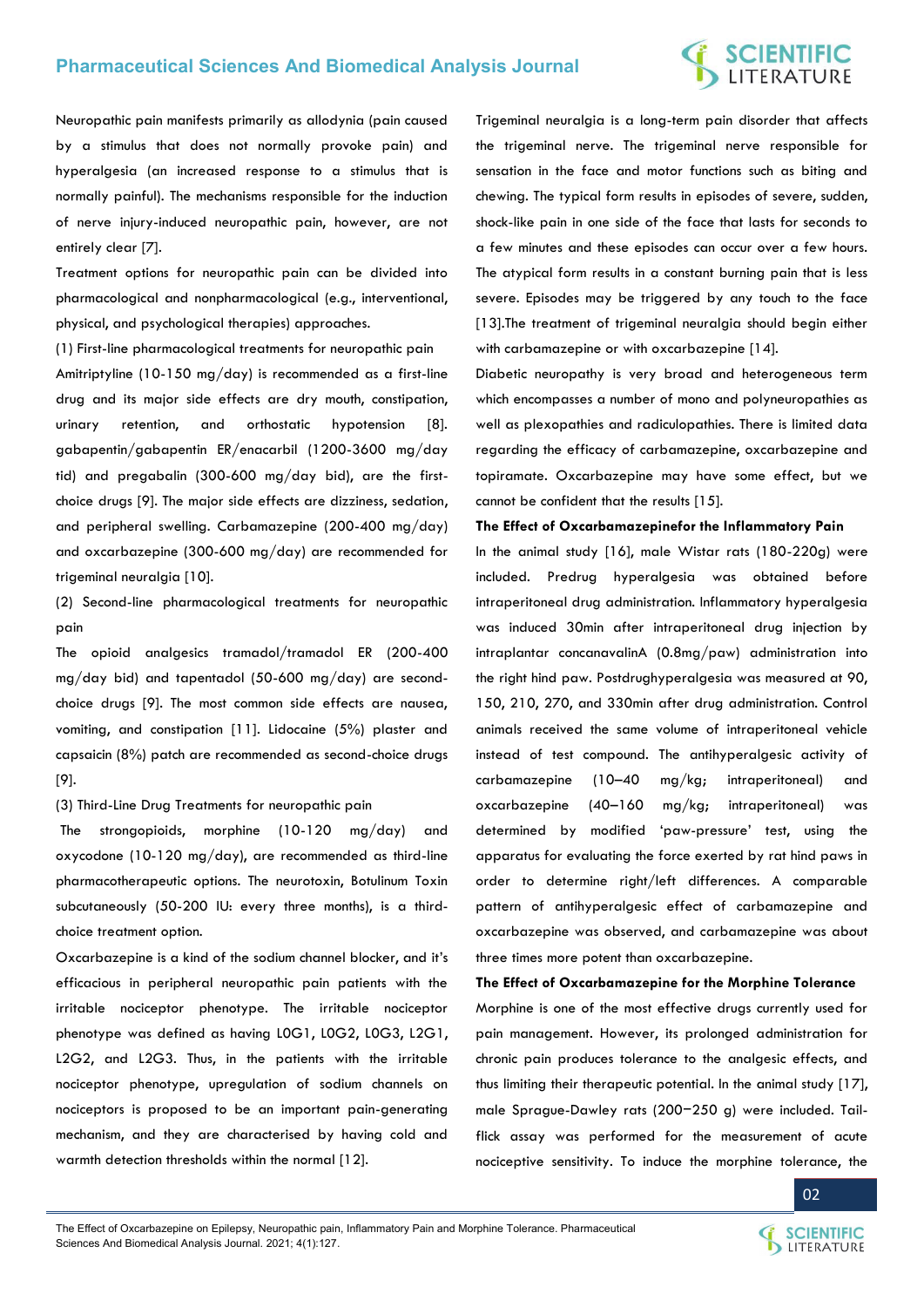# **Pharmaceutical Sciences And Biomedical Analysis Journal**

# **SCIENTIFIC**<br>LITERATURE

Neuropathic pain manifests primarily as allodynia (pain caused by a stimulus that does not normally provoke pain) and hyperalgesia (an increased response to a stimulus that is normally painful). The mechanisms responsible for the induction of nerve injury-induced neuropathic pain, however, are not entirely clear [7].

Treatment options for neuropathic pain can be divided into pharmacological and nonpharmacological (e.g., interventional, physical, and psychological therapies) approaches.

(1) First-line pharmacological treatments for neuropathic pain Amitriptyline (10-150 mg/day) is recommended as a first-line drug and its major side effects are dry mouth, constipation, urinary retention, and orthostatic hypotension [8]. gabapentin/gabapentin ER/enacarbil (1200-3600 mg/day tid) and pregabalin (300-600 mg/day bid), are the firstchoice drugs [9]. The major side effects are dizziness, sedation, and peripheral swelling. Carbamazepine (200-400 mg/day) and oxcarbazepine (300-600 mg/day) are recommended for trigeminal neuralgia [10].

(2) Second-line pharmacological treatments for neuropathic pain

The opioid analgesics tramadol/tramadol ER (200-400 mg/day bid) and tapentadol (50-600 mg/day) are secondchoice drugs [9]. The most common side effects are nausea, vomiting, and constipation [11]. Lidocaine (5%) plaster and capsaicin (8%) patch are recommended as second-choice drugs [9].

(3) Third-Line Drug Treatments for neuropathic pain

 The strongopioids, morphine (10-120 mg/day) and oxycodone (10-120 mg/day), are recommended as third-line pharmacotherapeutic options. The neurotoxin, Botulinum Toxin subcutaneously (50-200 IU: every three months), is a thirdchoice treatment option.

Oxcarbazepine is a kind of the sodium channel blocker, and it's efficacious in peripheral neuropathic pain patients with the irritable nociceptor phenotype. The irritable nociceptor phenotype was defined as having L0G1, L0G2, L0G3, L2G1, L2G2, and L2G3. Thus, in the patients with the irritable nociceptor phenotype, upregulation of sodium channels on nociceptors is proposed to be an important pain-generating mechanism, and they are characterised by having cold and warmth detection thresholds within the normal [12].

Trigeminal neuralgia is a long-term pain disorder that affects the trigeminal nerve. The trigeminal nerve responsible for sensation in the face and motor functions such as biting and chewing. The typical form results in episodes of severe, sudden, shock-like pain in one side of the face that lasts for seconds to a few minutes and these episodes can occur over a few hours. The atypical form results in a constant burning pain that is less severe. Episodes may be triggered by any touch to the face [13]. The treatment of trigeminal neuralgia should begin either with carbamazepine or with oxcarbazepine [14].

Diabetic neuropathy is very broad and heterogeneous term which encompasses a number of mono and polyneuropathies as well as plexopathies and radiculopathies. There is limited data regarding the efficacy of carbamazepine, oxcarbazepine and topiramate. Oxcarbazepine may have some effect, but we cannot be confident that the results [15].

#### **The Effect of Oxcarbamazepinefor the Inflammatory Pain**

In the animal study [16], male Wistar rats (180-220g) were included. Predrug hyperalgesia was obtained before intraperitoneal drug administration. Inflammatory hyperalgesia was induced 30min after intraperitoneal drug injection by intraplantar concanavalinA (0.8mg/paw) administration into the right hind paw. Postdrughyperalgesia was measured at 90, 150, 210, 270, and 330min after drug administration. Control animals received the same volume of intraperitoneal vehicle instead of test compound. The antihyperalgesic activity of carbamazepine (10–40 mg/kg; intraperitoneal) and oxcarbazepine (40–160 mg/kg; intraperitoneal) was determined by modified 'paw-pressure' test, using the apparatus for evaluating the force exerted by rat hind paws in order to determine right/left differences. A comparable pattern of antihyperalgesic effect of carbamazepine and oxcarbazepine was observed, and carbamazepine was about three times more potent than oxcarbazepine.

**The Effect of Oxcarbamazepine for the Morphine Tolerance** 

Morphine is one of the most effective drugs currently used for pain management. However, its prolonged administration for chronic pain produces tolerance to the analgesic effects, and thus limiting their therapeutic potential. In the animal study [17], male Sprague-Dawley rats (200−250 g) were included. Tailflick assay was performed for the measurement of acute nociceptive sensitivity. To induce the morphine tolerance, the